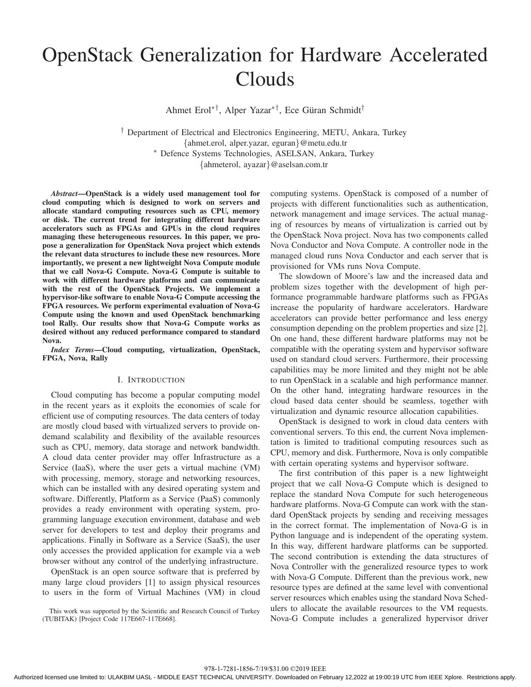# OpenStack Generalization for Hardware Accelerated **Clouds**

Ahmet Erol∗†, Alper Yazar∗†, Ece Guran Schmidt ¨ †

† Department of Electrical and Electronics Engineering, METU, Ankara, Turkey {ahmet.erol, alper.yazar, eguran}@metu.edu.tr <sup>∗</sup> Defence Systems Technologies, ASELSAN, Ankara, Turkey {ahmeterol, ayazar}@aselsan.com.tr

*Abstract*—OpenStack is a widely used management tool for cloud computing which is designed to work on servers and allocate standard computing resources such as CPU, memory or disk. The current trend for integrating different hardware accelerators such as FPGAs and GPUs in the cloud requires managing these heterogeneous resources. In this paper, we propose a generalization for OpenStack Nova project which extends the relevant data structures to include these new resources. More importantly, we present a new lightweight Nova Compute module that we call Nova-G Compute. Nova-G Compute is suitable to work with different hardware platforms and can communicate with the rest of the OpenStack Projects. We implement a hypervisor-like software to enable Nova-G Compute accessing the FPGA resources. We perform experimental evaluation of Nova-G Compute using the known and used OpenStack benchmarking tool Rally. Our results show that Nova-G Compute works as desired without any reduced performance compared to standard Nova.

*Index Terms*—Cloud computing, virtualization, OpenStack, FPGA, Nova, Rally

#### I. INTRODUCTION

Cloud computing has become a popular computing model in the recent years as it exploits the economies of scale for efficient use of computing resources. The data centers of today are mostly cloud based with virtualized servers to provide ondemand scalability and flexibility of the available resources such as CPU, memory, data storage and network bandwidth. A cloud data center provider may offer Infrastructure as a Service (IaaS), where the user gets a virtual machine (VM) with processing, memory, storage and networking resources, which can be installed with any desired operating system and software. Differently, Platform as a Service (PaaS) commonly provides a ready environment with operating system, programming language execution environment, database and web server for developers to test and deploy their programs and applications. Finally in Software as a Service (SaaS), the user only accesses the provided application for example via a web browser without any control of the underlying infrastructure.

OpenStack is an open source software that is preferred by many large cloud providers [1] to assign physical resources to users in the form of Virtual Machines (VM) in cloud

This work was supported by the Scientific and Research Council of Turkey (TUBITAK) [Project Code 117E667-117E668].

computing systems. OpenStack is composed of a number of projects with different functionalities such as authentication, network management and image services. The actual managing of resources by means of virtualization is carried out by the OpenStack Nova project. Nova has two components called Nova Conductor and Nova Compute. A controller node in the managed cloud runs Nova Conductor and each server that is provisioned for VMs runs Nova Compute.

The slowdown of Moore's law and the increased data and problem sizes together with the development of high performance programmable hardware platforms such as FPGAs increase the popularity of hardware accelerators. Hardware accelerators can provide better performance and less energy consumption depending on the problem properties and size [2]. On one hand, these different hardware platforms may not be compatible with the operating system and hypervisor software used on standard cloud servers. Furthermore, their processing capabilities may be more limited and they might not be able to run OpenStack in a scalable and high performance manner. On the other hand, integrating hardware resources in the cloud based data center should be seamless, together with virtualization and dynamic resource allocation capabilities.

OpenStack is designed to work in cloud data centers with conventional servers. To this end, the current Nova implementation is limited to traditional computing resources such as CPU, memory and disk. Furthermore, Nova is only compatible with certain operating systems and hypervisor software.

The first contribution of this paper is a new lightweight project that we call Nova-G Compute which is designed to replace the standard Nova Compute for such heterogeneous hardware platforms. Nova-G Compute can work with the standard OpenStack projects by sending and receiving messages in the correct format. The implementation of Nova-G is in Python language and is independent of the operating system. In this way, different hardware platforms can be supported. The second contribution is extending the data structures of Nova Controller with the generalized resource types to work with Nova-G Compute. Different than the previous work, new resource types are defined at the same level with conventional server resources which enables using the standard Nova Schedulers to allocate the available resources to the VM requests. Nova-G Compute includes a generalized hypervisor driver

978-1-7281-1856-7/19/\$31.00 ©2019 IEEE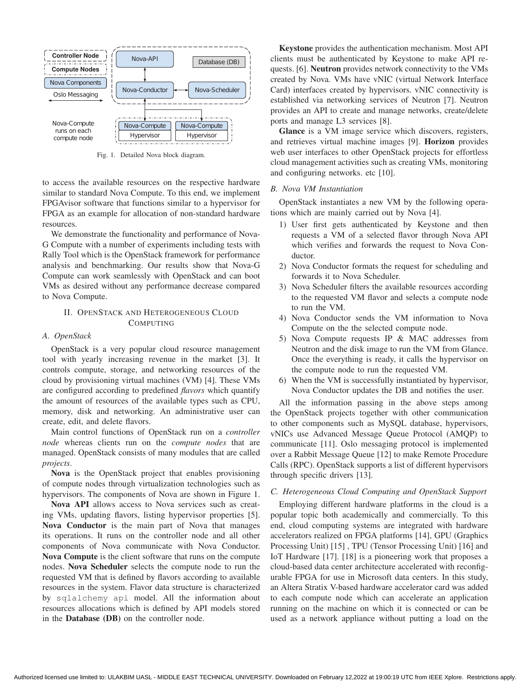

Fig. 1. Detailed Nova block diagram.

to access the available resources on the respective hardware similar to standard Nova Compute. To this end, we implement FPGAvisor software that functions similar to a hypervisor for FPGA as an example for allocation of non-standard hardware resources.

We demonstrate the functionality and performance of Nova-G Compute with a number of experiments including tests with Rally Tool which is the OpenStack framework for performance analysis and benchmarking. Our results show that Nova-G Compute can work seamlessly with OpenStack and can boot VMs as desired without any performance decrease compared to Nova Compute.

# II. OPENSTACK AND HETEROGENEOUS CLOUD COMPUTING

#### *A. OpenStack*

OpenStack is a very popular cloud resource management tool with yearly increasing revenue in the market [3]. It controls compute, storage, and networking resources of the cloud by provisioning virtual machines (VM) [4]. These VMs are configured according to predefined *flavors* which quantify the amount of resources of the available types such as CPU, memory, disk and networking. An administrative user can create, edit, and delete flavors.

Main control functions of OpenStack run on a *controller node* whereas clients run on the *compute nodes* that are managed. OpenStack consists of many modules that are called *projects*.

Nova is the OpenStack project that enables provisioning of compute nodes through virtualization technologies such as hypervisors. The components of Nova are shown in Figure 1.

Nova API allows access to Nova services such as creating VMs, updating flavors, listing hypervisor properties [5]. Nova Conductor is the main part of Nova that manages its operations. It runs on the controller node and all other components of Nova communicate with Nova Conductor. Nova Compute is the client software that runs on the compute nodes. Nova Scheduler selects the compute node to run the requested VM that is defined by flavors according to available resources in the system. Flavor data structure is characterized by sqlalchemy api model. All the information about resources allocations which is defined by API models stored in the Database (DB) on the controller node.

Keystone provides the authentication mechanism. Most API clients must be authenticated by Keystone to make API requests. [6]. Neutron provides network connectivity to the VMs created by Nova. VMs have vNIC (virtual Network Interface Card) interfaces created by hypervisors. vNIC connectivity is established via networking services of Neutron [7]. Neutron provides an API to create and manage networks, create/delete ports and manage L3 services [8].

Glance is a VM image service which discovers, registers, and retrieves virtual machine images [9]. Horizon provides web user interfaces to other OpenStack projects for effortless cloud management activities such as creating VMs, monitoring and configuring networks. etc [10].

## *B. Nova VM Instantiation*

OpenStack instantiates a new VM by the following operations which are mainly carried out by Nova [4].

- 1) User first gets authenticated by Keystone and then requests a VM of a selected flavor through Nova API which verifies and forwards the request to Nova Conductor.
- 2) Nova Conductor formats the request for scheduling and forwards it to Nova Scheduler.
- 3) Nova Scheduler filters the available resources according to the requested VM flavor and selects a compute node to run the VM.
- 4) Nova Conductor sends the VM information to Nova Compute on the the selected compute node.
- 5) Nova Compute requests IP & MAC addresses from Neutron and the disk image to run the VM from Glance. Once the everything is ready, it calls the hypervisor on the compute node to run the requested VM.
- 6) When the VM is successfully instantiated by hypervisor, Nova Conductor updates the DB and notifies the user.

All the information passing in the above steps among the OpenStack projects together with other communication to other components such as MySQL database, hypervisors, vNICs use Advanced Message Queue Protocol (AMQP) to communicate [11]. Oslo messaging protocol is implemented over a Rabbit Message Queue [12] to make Remote Procedure Calls (RPC). OpenStack supports a list of different hypervisors through specific drivers [13].

#### *C. Heterogeneous Cloud Computing and OpenStack Support*

Employing different hardware platforms in the cloud is a popular topic both academically and commercially. To this end, cloud computing systems are integrated with hardware accelerators realized on FPGA platforms [14], GPU (Graphics Processing Unit) [15] , TPU (Tensor Processing Unit) [16] and IoT Hardware [17]. [18] is a pioneering work that proposes a cloud-based data center architecture accelerated with reconfigurable FPGA for use in Microsoft data centers. In this study, an Altera Stratix V-based hardware accelerator card was added to each compute node which can accelerate an application running on the machine on which it is connected or can be used as a network appliance without putting a load on the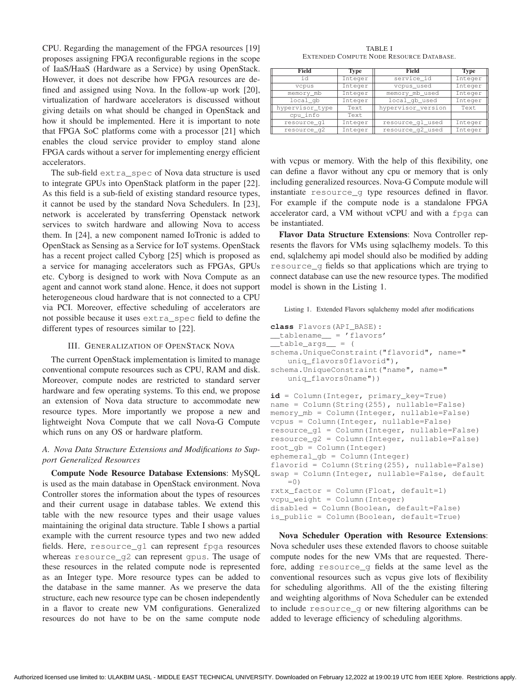CPU. Regarding the management of the FPGA resources [19] proposes assigning FPGA reconfigurable regions in the scope of IaaS/HaaS (Hardware as a Service) by using OpenStack. However, it does not describe how FPGA resources are defined and assigned using Nova. In the follow-up work [20], virtualization of hardware accelerators is discussed without giving details on what should be changed in OpenStack and how it should be implemented. Here it is important to note that FPGA SoC platforms come with a processor [21] which enables the cloud service provider to employ stand alone FPGA cards without a server for implementing energy efficient accelerators.

The sub-field extra\_spec of Nova data structure is used to integrate GPUs into OpenStack platform in the paper [22]. As this field is a sub-field of existing standard resource types, it cannot be used by the standard Nova Schedulers. In [23], network is accelerated by transferring Openstack network services to switch hardware and allowing Nova to access them. In [24], a new component named IoTronic is added to OpenStack as Sensing as a Service for IoT systems. OpenStack has a recent project called Cyborg [25] which is proposed as a service for managing accelerators such as FPGAs, GPUs etc. Cyborg is designed to work with Nova Compute as an agent and cannot work stand alone. Hence, it does not support heterogeneous cloud hardware that is not connected to a CPU via PCI. Moreover, effective scheduling of accelerators are not possible because it uses extra\_spec field to define the different types of resources similar to [22].

#### III. GENERALIZATION OF OPENSTACK NOVA

The current OpenStack implementation is limited to manage conventional compute resources such as CPU, RAM and disk. Moreover, compute nodes are restricted to standard server hardware and few operating systems. To this end, we propose an extension of Nova data structure to accommodate new resource types. More importantly we propose a new and lightweight Nova Compute that we call Nova-G Compute which runs on any OS or hardware platform.

# *A. Nova Data Structure Extensions and Modifications to Support Generalized Resources*

Compute Node Resource Database Extensions: MySQL is used as the main database in OpenStack environment. Nova Controller stores the information about the types of resources and their current usage in database tables. We extend this table with the new resource types and their usage values maintaining the original data structure. Table I shows a partial example with the current resource types and two new added fields. Here, resource\_g1 can represent fpga resources whereas resource\_g2 can represent gpus. The usage of these resources in the related compute node is represented as an Integer type. More resource types can be added to the database in the same manner. As we preserve the data structure, each new resource type can be chosen independently in a flavor to create new VM configurations. Generalized resources do not have to be on the same compute node

TABLE I EXTENDED COMPUTE NODE RESOURCE DATABASE.

| Field           | Type    | Field              | <b>Type</b> |  |
|-----------------|---------|--------------------|-------------|--|
| id              | Integer | service_id         | Integer     |  |
| vcpus           | Integer | vcpus_used         | Integer     |  |
| memory_mb       | Integer | memory_mb_used     | Integer     |  |
| $local_qb$      | Integer | local_qb_used      | Integer     |  |
| hypervisor_type | Text    | hypervisor_version | Text        |  |
| cpu_info        | Text    |                    |             |  |
| resource_q1     | Integer | resource_q1_used   | Integer     |  |
| resource_q2     | Integer | resource_g2_used   | Integer     |  |

with vcpus or memory. With the help of this flexibility, one can define a flavor without any cpu or memory that is only including generalized resources. Nova-G Compute module will instantiate resource\_g type resources defined in flavor. For example if the compute node is a standalone FPGA accelerator card, a VM without vCPU and with a fpga can be instantiated.

Flavor Data Structure Extensions: Nova Controller represents the flavors for VMs using sqlaclhemy models. To this end, sqlalchemy api model should also be modified by adding resource\_g fields so that applications which are trying to connect database can use the new resource types. The modified model is shown in the Listing 1.

Listing 1. Extended Flavors sqlalchemy model after modifications

```
class Flavors(API_BASE):
__tablename__ = 'flavors'
\_table\_args = (
schema.UniqueConstraint("flavorid", name="
    uniq_flavors0flavorid"),
schema. UniqueConstraint ("name", name="
   uniq flavors0name"))
id = Column(Integer, primary_key=True)
name = Column(String(255), nullable=False)
memory_mb = Column(Integer, nullable=False)
vcpus = Column(Integer, nullable=False)
resource_g1 = Column(Integer, nullable=False)
resource_g2 = Column(Integer, nullable=False)
root_gb = Column(Integer)
ephemeral_gb = Column(Integer)
```

```
flavorid = Column(String(255), nullable=False)
swap = Column(Integer, nullable=False, default
   =0)
rxtx_factor = Column(Float, default=1)
vcpu weight = Column(Integer)
disabled = Column(Boolean, default=False)
is_public = Column(Boolean, default=True)
```
Nova Scheduler Operation with Resource Extensions: Nova scheduler uses these extended flavors to choose suitable compute nodes for the new VMs that are requested. Therefore, adding resource\_g fields at the same level as the conventional resources such as vcpus give lots of flexibility for scheduling algorithms. All of the the existing filtering and weighting algorithms of Nova Scheduler can be extended to include resource\_g or new filtering algorithms can be added to leverage efficiency of scheduling algorithms.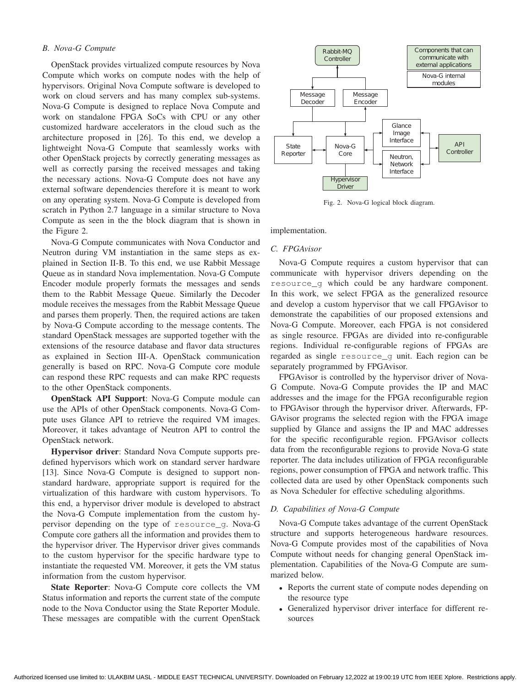# *B. Nova-G Compute*

OpenStack provides virtualized compute resources by Nova Compute which works on compute nodes with the help of hypervisors. Original Nova Compute software is developed to work on cloud servers and has many complex sub-systems. Nova-G Compute is designed to replace Nova Compute and work on standalone FPGA SoCs with CPU or any other customized hardware accelerators in the cloud such as the architecture proposed in [26]. To this end, we develop a lightweight Nova-G Compute that seamlessly works with other OpenStack projects by correctly generating messages as well as correctly parsing the received messages and taking the necessary actions. Nova-G Compute does not have any external software dependencies therefore it is meant to work on any operating system. Nova-G Compute is developed from scratch in Python 2.7 language in a similar structure to Nova Compute as seen in the the block diagram that is shown in the Figure 2.

Nova-G Compute communicates with Nova Conductor and Neutron during VM instantiation in the same steps as explained in Section II-B. To this end, we use Rabbit Message Queue as in standard Nova implementation. Nova-G Compute Encoder module properly formats the messages and sends them to the Rabbit Message Queue. Similarly the Decoder module receives the messages from the Rabbit Message Queue and parses them properly. Then, the required actions are taken by Nova-G Compute according to the message contents. The standard OpenStack messages are supported together with the extensions of the resource database and flavor data structures as explained in Section III-A. OpenStack communication generally is based on RPC. Nova-G Compute core module can respond these RPC requests and can make RPC requests to the other OpenStack components.

OpenStack API Support: Nova-G Compute module can use the APIs of other OpenStack components. Nova-G Compute uses Glance API to retrieve the required VM images. Moreover, it takes advantage of Neutron API to control the OpenStack network.

Hypervisor driver: Standard Nova Compute supports predefined hypervisors which work on standard server hardware [13]. Since Nova-G Compute is designed to support nonstandard hardware, appropriate support is required for the virtualization of this hardware with custom hypervisors. To this end, a hypervisor driver module is developed to abstract the Nova-G Compute implementation from the custom hypervisor depending on the type of resource\_g. Nova-G Compute core gathers all the information and provides them to the hypervisor driver. The Hypervisor driver gives commands to the custom hypervisor for the specific hardware type to instantiate the requested VM. Moreover, it gets the VM status information from the custom hypervisor.

State Reporter: Nova-G Compute core collects the VM Status information and reports the current state of the compute node to the Nova Conductor using the State Reporter Module. These messages are compatible with the current OpenStack



Fig. 2. Nova-G logical block diagram.

implementation.

#### *C. FPGAvisor*

Nova-G Compute requires a custom hypervisor that can communicate with hypervisor drivers depending on the resource q which could be any hardware component. In this work, we select FPGA as the generalized resource and develop a custom hypervisor that we call FPGAvisor to demonstrate the capabilities of our proposed extensions and Nova-G Compute. Moreover, each FPGA is not considered as single resource. FPGAs are divided into re-configurable regions. Individual re-configurable regions of FPGAs are regarded as single resource\_g unit. Each region can be separately programmed by FPGAvisor.

FPGAvisor is controlled by the hypervisor driver of Nova-G Compute. Nova-G Compute provides the IP and MAC addresses and the image for the FPGA reconfigurable region to FPGAvisor through the hypervisor driver. Afterwards, FP-GAvisor programs the selected region with the FPGA image supplied by Glance and assigns the IP and MAC addresses for the specific reconfigurable region. FPGAvisor collects data from the reconfigurable regions to provide Nova-G state reporter. The data includes utilization of FPGA reconfigurable regions, power consumption of FPGA and network traffic. This collected data are used by other OpenStack components such as Nova Scheduler for effective scheduling algorithms.

#### *D. Capabilities of Nova-G Compute*

Nova-G Compute takes advantage of the current OpenStack structure and supports heterogeneous hardware resources. Nova-G Compute provides most of the capabilities of Nova Compute without needs for changing general OpenStack implementation. Capabilities of the Nova-G Compute are summarized below.

- Reports the current state of compute nodes depending on the resource type
- Generalized hypervisor driver interface for different resources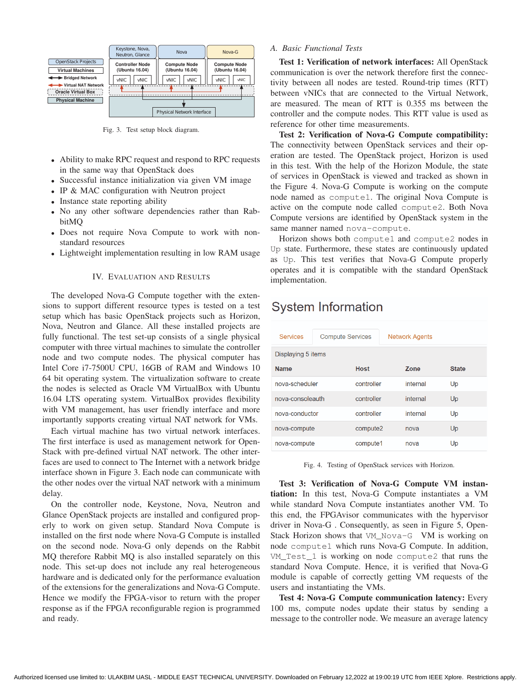

Fig. 3. Test setup block diagram.

- Ability to make RPC request and respond to RPC requests in the same way that OpenStack does
- Successful instance initialization via given VM image
- IP & MAC configuration with Neutron project
- Instance state reporting ability
- No any other software dependencies rather than RabbitMQ
- Does not require Nova Compute to work with nonstandard resources
- Lightweight implementation resulting in low RAM usage

# IV. EVALUATION AND RESULTS

The developed Nova-G Compute together with the extensions to support different resource types is tested on a test setup which has basic OpenStack projects such as Horizon, Nova, Neutron and Glance. All these installed projects are fully functional. The test set-up consists of a single physical computer with three virtual machines to simulate the controller node and two compute nodes. The physical computer has Intel Core i7-7500U CPU, 16GB of RAM and Windows 10 64 bit operating system. The virtualization software to create the nodes is selected as Oracle VM VirtualBox with Ubuntu 16.04 LTS operating system. VirtualBox provides flexibility with VM management, has user friendly interface and more importantly supports creating virtual NAT network for VMs.

Each virtual machine has two virtual network interfaces. The first interface is used as management network for Open-Stack with pre-defined virtual NAT network. The other interfaces are used to connect to The Internet with a network bridge interface shown in Figure 3. Each node can communicate with the other nodes over the virtual NAT network with a minimum delay.

On the controller node, Keystone, Nova, Neutron and Glance OpenStack projects are installed and configured properly to work on given setup. Standard Nova Compute is installed on the first node where Nova-G Compute is installed on the second node. Nova-G only depends on the Rabbit MQ therefore Rabbit MQ is also installed separately on this node. This set-up does not include any real heterogeneous hardware and is dedicated only for the performance evaluation of the extensions for the generalizations and Nova-G Compute. Hence we modify the FPGA-visor to return with the proper response as if the FPGA reconfigurable region is programmed and ready.

# *A. Basic Functional Tests*

Test 1: Verification of network interfaces: All OpenStack communication is over the network therefore first the connectivity between all nodes are tested. Round-trip times (RTT) between vNICs that are connected to the Virtual Network, are measured. The mean of RTT is 0.355 ms between the controller and the compute nodes. This RTT value is used as reference for other time measurements.

Test 2: Verification of Nova-G Compute compatibility: The connectivity between OpenStack services and their operation are tested. The OpenStack project, Horizon is used in this test. With the help of the Horizon Module, the state of services in OpenStack is viewed and tracked as shown in the Figure 4. Nova-G Compute is working on the compute node named as compute1. The original Nova Compute is active on the compute node called compute2. Both Nova Compute versions are identified by OpenStack system in the same manner named nova-compute.

Horizon shows both compute1 and compute2 nodes in Up state. Furthermore, these states are continuously updated as Up. This test verifies that Nova-G Compute properly operates and it is compatible with the standard OpenStack implementation.

# **System Information**

| <b>Services</b>    | <b>Compute Services</b> |            | Network Agents |              |
|--------------------|-------------------------|------------|----------------|--------------|
| Displaying 5 items |                         |            |                |              |
| <b>Name</b>        |                         | Host       | Zone           | <b>State</b> |
| nova-scheduler     |                         | controller | internal       | Up           |
| nova-consoleauth   |                         | controller | internal       | Up           |
| nova-conductor     |                         | controller | internal       | Up           |
| nova-compute       |                         | compute2   | nova           | Up           |
| nova-compute       |                         | compute1   | nova           | Up           |

Fig. 4. Testing of OpenStack services with Horizon.

Test 3: Verification of Nova-G Compute VM instantiation: In this test, Nova-G Compute instantiates a VM while standard Nova Compute instantiates another VM. To this end, the FPGAvisor communicates with the hypervisor driver in Nova-G . Consequently, as seen in Figure 5, Open-Stack Horizon shows that VM Nova-G VM is working on node compute1 which runs Nova-G Compute. In addition, VM\_Test\_1 is working on node compute2 that runs the standard Nova Compute. Hence, it is verified that Nova-G module is capable of correctly getting VM requests of the users and instantiating the VMs.

Test 4: Nova-G Compute communication latency: Every 100 ms, compute nodes update their status by sending a message to the controller node. We measure an average latency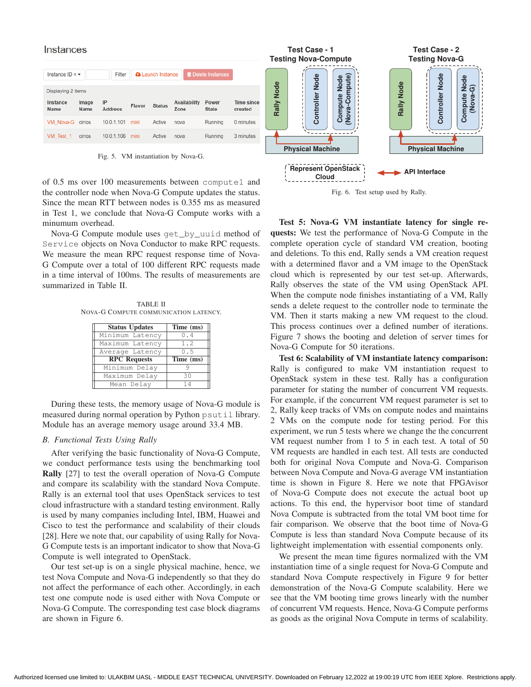| <b>Instances</b>            |                      |                      |               |                          |                             |                             |                              |
|-----------------------------|----------------------|----------------------|---------------|--------------------------|-----------------------------|-----------------------------|------------------------------|
| Instance $ID = \rightarrow$ |                      | Filter               |               | <b>a</b> Launch Instance |                             | <b>The Delete Instances</b> |                              |
| Displaying 2 items          |                      |                      |               |                          |                             |                             |                              |
| Instance<br><b>Name</b>     | Image<br><b>Name</b> | IP<br><b>Address</b> | <b>Flavor</b> | <b>Status</b>            | <b>Availability</b><br>Zone | Power<br><b>State</b>       | <b>Time since</b><br>created |
| VM Nova-G cirros            |                      | 10.0.1.101           | mini          | Active                   | nova                        | Running                     | 0 minutes                    |
| VM Test 1                   | cirros               | 10.0.1.106           | mini          | Active                   | nova                        | Running                     | 3 minutes                    |

Fig. 5. VM instantiation by Nova-G.

of 0.5 ms over 100 measurements between compute1 and the controller node when Nova-G Compute updates the status. Since the mean RTT between nodes is 0.355 ms as measured in Test 1, we conclude that Nova-G Compute works with a minumum overhead.

Nova-G Compute module uses get\_by\_uuid method of Service objects on Nova Conductor to make RPC requests. We measure the mean RPC request response time of Nova-G Compute over a total of 100 different RPC requests made in a time interval of 100ms. The results of measurements are summarized in Table II.

TABLE II NOVA-G COMPUTE COMMUNICATION LATENCY.

| <b>Status Updates</b> | Time (ms)                     |
|-----------------------|-------------------------------|
| Minimum Latency       | 0.4                           |
| Maximum Latency       | 1.2                           |
| Average Latency       | 0.5                           |
| <b>RPC Requests</b>   | $\overline{\text{Time}}$ (ms) |
| Minimum Delay         |                               |
| Maximum Delay         | 30                            |
|                       |                               |

During these tests, the memory usage of Nova-G module is measured during normal operation by Python psutil library. Module has an average memory usage around 33.4 MB.

#### *B. Functional Tests Using Rally*

After verifying the basic functionality of Nova-G Compute, we conduct performance tests using the benchmarking tool Rally [27] to test the overall operation of Nova-G Compute and compare its scalability with the standard Nova Compute. Rally is an external tool that uses OpenStack services to test cloud infrastructure with a standard testing environment. Rally is used by many companies including Intel, IBM, Huawei and Cisco to test the performance and scalability of their clouds [28]. Here we note that, our capability of using Rally for Nova-G Compute tests is an important indicator to show that Nova-G Compute is well integrated to OpenStack.

Our test set-up is on a single physical machine, hence, we test Nova Compute and Nova-G independently so that they do not affect the performance of each other. Accordingly, in each test one compute node is used either with Nova Compute or Nova-G Compute. The corresponding test case block diagrams are shown in Figure 6.



Fig. 6. Test setup used by Rally.

Test 5: Nova-G VM instantiate latency for single requests: We test the performance of Nova-G Compute in the complete operation cycle of standard VM creation, booting and deletions. To this end, Rally sends a VM creation request with a determined flavor and a VM image to the OpenStack cloud which is represented by our test set-up. Afterwards, Rally observes the state of the VM using OpenStack API. When the compute node finishes instantiating of a VM, Rally sends a delete request to the controller node to terminate the VM. Then it starts making a new VM request to the cloud. This process continues over a defined number of iterations. Figure 7 shows the booting and deletion of server times for Nova-G Compute for 50 iterations.

Test 6: Scalability of VM instantiate latency comparison: Rally is configured to make VM instantiation request to OpenStack system in these test. Rally has a configuration parameter for stating the number of concurrent VM requests. For example, if the concurrent VM request parameter is set to 2, Rally keep tracks of VMs on compute nodes and maintains 2 VMs on the compute node for testing period. For this experiment, we run 5 tests where we change the the concurrent VM request number from 1 to 5 in each test. A total of 50 VM requests are handled in each test. All tests are conducted both for original Nova Compute and Nova-G. Comparison between Nova Compute and Nova-G average VM instantiation time is shown in Figure 8. Here we note that FPGAvisor of Nova-G Compute does not execute the actual boot up actions. To this end, the hypervisor boot time of standard Nova Compute is subtracted from the total VM boot time for fair comparison. We observe that the boot time of Nova-G Compute is less than standard Nova Compute because of its lightweight implementation with essential components only.

We present the mean time figures normalized with the VM instantiation time of a single request for Nova-G Compute and standard Nova Compute respectively in Figure 9 for better demonstration of the Nova-G Compute scalability. Here we see that the VM booting time grows linearly with the number of concurrent VM requests. Hence, Nova-G Compute performs as goods as the original Nova Compute in terms of scalability.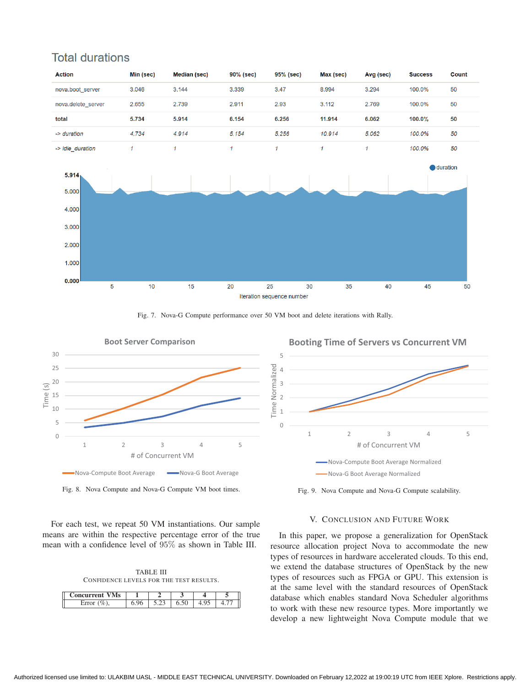

# **Total durations**



5

im

e Norm

alized



Fig. 8. Nova Compute and Nova-G Compute VM boot times.

For each test, we repeat 50 VM instantiations. Our sample means are within the respective percentage error of the true mean with a confidence level of 95% as shown in Table III.

TABLE III CONFIDENCE LEVELS FOR THE TEST RESULTS.

| eurrent<br>v |  |                |  |
|--------------|--|----------------|--|
| L1101        |  | $\overline{ }$ |  |

**Booting Time of Servers vs Concurrent VM** 



Fig. 9. Nova Compute and Nova-G Compute scalability.

# V. CONCLUSION AND FUTURE WORK

In this paper, we propose a generalization for OpenStack resource allocation project Nova to accommodate the new types of resources in hardware accelerated clouds. To this end, we extend the database structures of OpenStack by the new types of resources such as FPGA or GPU. This extension is at the same level with the standard resources of OpenStack database which enables standard Nova Scheduler algorithms to work with these new resource types. More importantly we develop a new lightweight Nova Compute module that we